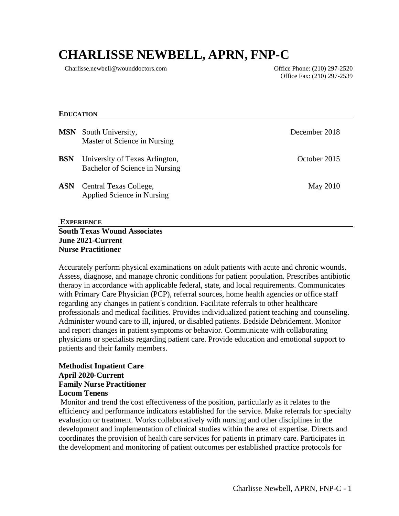# **CHARLISSE NEWBELL, APRN, FNP-C**

Charlisse.newbell@wounddoctors.com Office Phone: (210) 297-2520

Office Fax: (210) 297-2539

#### **EDUCATION**

|            | <b>MSN</b> South University,<br>Master of Science in Nursing     | December 2018 |
|------------|------------------------------------------------------------------|---------------|
| <b>BSN</b> | University of Texas Arlington,<br>Bachelor of Science in Nursing | October 2015  |
| <b>ASN</b> | Central Texas College,<br>Applied Science in Nursing             | May 2010      |

#### **EXPERIENCE South Texas Wound Associates June 2021-Current Nurse Practitioner**

Accurately perform physical examinations on adult patients with acute and chronic wounds. Assess, diagnose, and manage chronic conditions for patient population. Prescribes antibiotic therapy in accordance with applicable federal, state, and local requirements. Communicates with Primary Care Physician (PCP), referral sources, home health agencies or office staff regarding any changes in patient's condition. Facilitate referrals to other healthcare professionals and medical facilities. Provides individualized patient teaching and counseling. Administer wound care to ill, injured, or disabled patients. Bedside Debridement. Monitor and report changes in patient symptoms or behavior. Communicate with collaborating physicians or specialists regarding patient care. Provide education and emotional support to patients and their family members.

#### **Methodist Inpatient Care April 2020-Current Family Nurse Practitioner Locum Tenens**

Monitor and trend the cost effectiveness of the position, particularly as it relates to the efficiency and performance indicators established for the service. Make referrals for specialty evaluation or treatment. Works collaboratively with nursing and other disciplines in the development and implementation of clinical studies within the area of expertise. Directs and coordinates the provision of health care services for patients in primary care. Participates in the development and monitoring of patient outcomes per established practice protocols for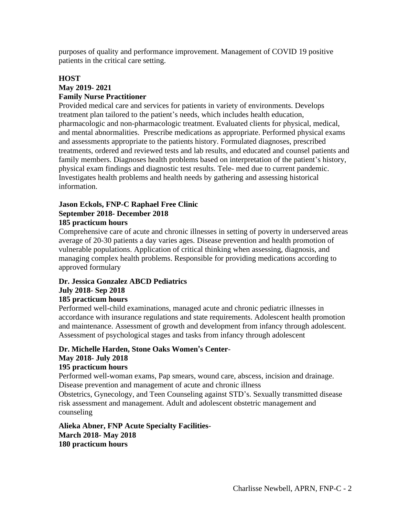purposes of quality and performance improvement. Management of COVID 19 positive patients in the critical care setting.

## **HOST May 2019- 2021 Family Nurse Practitioner**

Provided medical care and services for patients in variety of environments. Develops treatment plan tailored to the patient's needs, which includes health education, pharmacologic and non-pharmacologic treatment. Evaluated clients for physical, medical, and mental abnormalities. Prescribe medications as appropriate. Performed physical exams and assessments appropriate to the patients history. Formulated diagnoses, prescribed treatments, ordered and reviewed tests and lab results, and educated and counsel patients and family members. Diagnoses health problems based on interpretation of the patient's history, physical exam findings and diagnostic test results. Tele- med due to current pandemic. Investigates health problems and health needs by gathering and assessing historical information.

## **Jason Eckols, FNP-C Raphael Free Clinic September 2018- December 2018**

## **185 practicum hours**

Comprehensive care of acute and chronic illnesses in setting of poverty in underserved areas average of 20-30 patients a day varies ages. Disease prevention and health promotion of vulnerable populations. Application of critical thinking when assessing, diagnosis, and managing complex health problems. Responsible for providing medications according to approved formulary

#### **Dr. Jessica Gonzalez ABCD Pediatrics July 2018- Sep 2018 185 practicum hours**

Performed well-child examinations, managed acute and chronic pediatric illnesses in accordance with insurance regulations and state requirements. Adolescent health promotion and maintenance. Assessment of growth and development from infancy through adolescent. Assessment of psychological stages and tasks from infancy through adolescent

# **Dr. Michelle Harden, Stone Oaks Women's Center**-**May 2018- July 2018**

## **195 practicum hours**

Performed well-woman exams, Pap smears, wound care, abscess, incision and drainage. Disease prevention and management of acute and chronic illness

Obstetrics, Gynecology, and Teen Counseling against STD's. Sexually transmitted disease risk assessment and management. Adult and adolescent obstetric management and counseling

## **Alieka Abner, FNP Acute Specialty Facilities**-**March 2018- May 2018 180 practicum hours**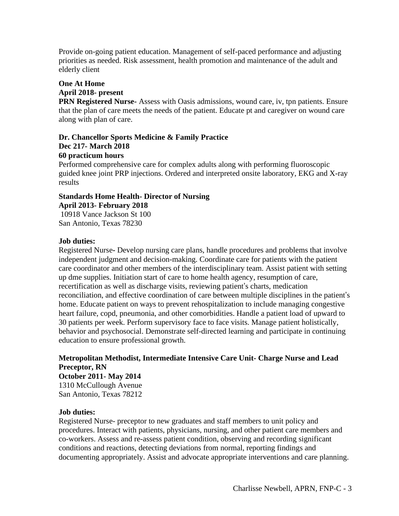Provide on-going patient education. Management of self-paced performance and adjusting priorities as needed. Risk assessment, health promotion and maintenance of the adult and elderly client

# **One At Home**

## **April 2018- present**

**PRN Registered Nurse-** Assess with Oasis admissions, wound care, iv, tpn patients. Ensure that the plan of care meets the needs of the patient. Educate pt and caregiver on wound care along with plan of care.

## **Dr. Chancellor Sports Medicine & Family Practice Dec 217- March 2018 60 practicum hours**

Performed comprehensive care for complex adults along with performing fluoroscopic guided knee joint PRP injections. Ordered and interpreted onsite laboratory, EKG and X-ray results

## **Standards Home Health- Director of Nursing April 2013- February 2018**

10918 Vance Jackson St 100 San Antonio, Texas 78230

## **Job duties:**

Registered Nurse**-** Develop nursing care plans, handle procedures and problems that involve independent judgment and decision-making. Coordinate care for patients with the patient care coordinator and other members of the interdisciplinary team. Assist patient with setting up dme supplies. Initiation start of care to home health agency, resumption of care, recertification as well as discharge visits, reviewing patient's charts, medication reconciliation, and effective coordination of care between multiple disciplines in the patient's home. Educate patient on ways to prevent rehospitalization to include managing congestive heart failure, copd, pneumonia, and other comorbidities. Handle a patient load of upward to 30 patients per week. Perform supervisory face to face visits. Manage patient holistically, behavior and psychosocial. Demonstrate self-directed learning and participate in continuing education to ensure professional growth.

## **Metropolitan Methodist, Intermediate Intensive Care Unit- Charge Nurse and Lead Preceptor, RN October 2011- May 2014** 1310 McCullough Avenue San Antonio, Texas 78212

## **Job duties:**

Registered Nurse- preceptor to new graduates and staff members to unit policy and procedures. Interact with patients, physicians, nursing, and other patient care members and co-workers. Assess and re-assess patient condition, observing and recording significant conditions and reactions, detecting deviations from normal, reporting findings and documenting appropriately. Assist and advocate appropriate interventions and care planning.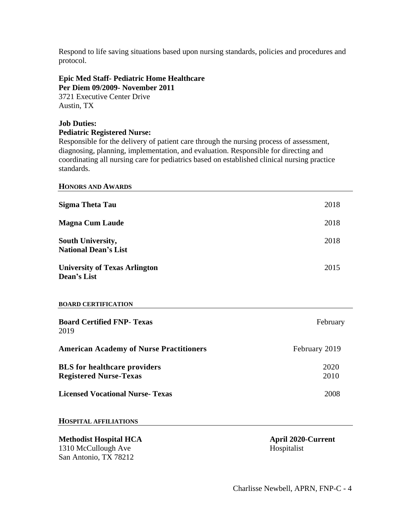Respond to life saving situations based upon nursing standards, policies and procedures and protocol.

#### **Epic Med Staff- Pediatric Home Healthcare Per Diem 09/2009- November 2011**

3721 Executive Center Drive Austin, TX

## **Job Duties:**

#### **Pediatric Registered Nurse:**

Responsible for the delivery of patient care through the nursing process of assessment, diagnosing, planning, implementation, and evaluation. Responsible for directing and coordinating all nursing care for pediatrics based on established clinical nursing practice standards.

#### **HONORS AND AWARDS**

| <b>Sigma Theta Tau</b>                                               | 2018          |
|----------------------------------------------------------------------|---------------|
| <b>Magna Cum Laude</b>                                               | 2018          |
| South University,<br><b>National Dean's List</b>                     | 2018          |
| <b>University of Texas Arlington</b><br><b>Dean's List</b>           | 2015          |
| <b>BOARD CERTIFICATION</b>                                           |               |
| <b>Board Certified FNP- Texas</b><br>2019                            | February      |
| <b>American Academy of Nurse Practitioners</b>                       | February 2019 |
| <b>BLS</b> for healthcare providers<br><b>Registered Nurse-Texas</b> | 2020<br>2010  |
| <b>Licensed Vocational Nurse-Texas</b>                               | 2008          |

#### **HOSPITAL AFFILIATIONS**

## **Methodist Hospital HCA April 2020-Current** 1310 McCullough Ave Hospitalist San Antonio, TX 78212